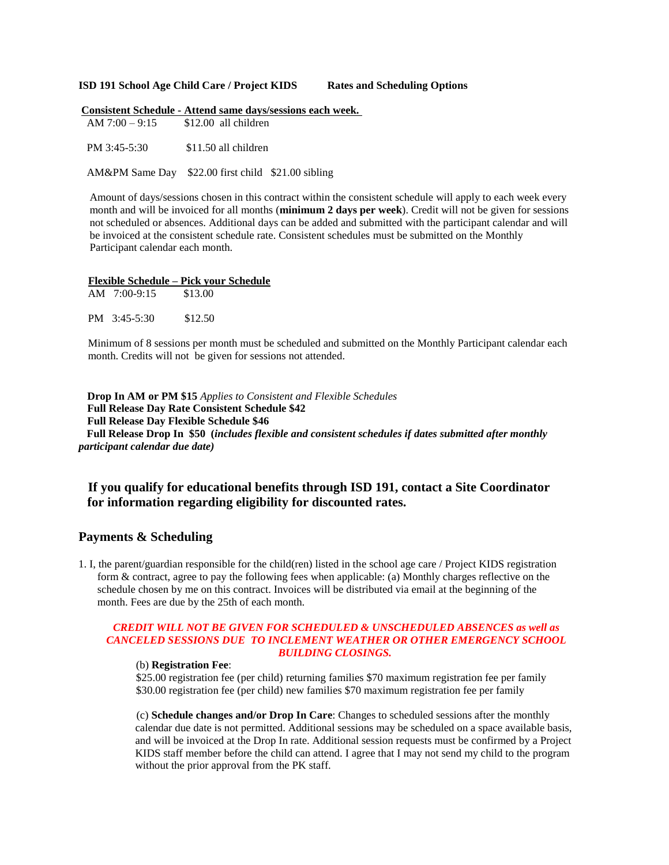#### **ISD 191 School Age Child Care / Project KIDS Rates and Scheduling Options**

|                                        | <b>Consistent Schedule - Attend same days/sessions each week.</b> |
|----------------------------------------|-------------------------------------------------------------------|
| $AM$ 7:00 – 9:15 $$12.00$ all children |                                                                   |
|                                        |                                                                   |
| PM 3:45-5:30 \$11.50 all children      |                                                                   |
|                                        |                                                                   |
|                                        | AM&PM Same Day \$22.00 first child \$21.00 sibling                |
|                                        |                                                                   |

Amount of days/sessions chosen in this contract within the consistent schedule will apply to each week every month and will be invoiced for all months (**minimum 2 days per week**). Credit will not be given for sessions not scheduled or absences. Additional days can be added and submitted with the participant calendar and will be invoiced at the consistent schedule rate. Consistent schedules must be submitted on the Monthly Participant calendar each month.

#### **Flexible Schedule – Pick your Schedule**

| $AM$ 7:00-9:15 | \$13.00 |
|----------------|---------|
| PM 3:45-5:30   | \$12.50 |

Minimum of 8 sessions per month must be scheduled and submitted on the Monthly Participant calendar each month. Credits will not be given for sessions not attended.

**Drop In AM or PM \$15** *Applies to Consistent and Flexible Schedules* **Full Release Day Rate Consistent Schedule \$42 Full Release Day Flexible Schedule \$46 Full Release Drop In \$50 (***includes flexible and consistent schedules if dates submitted after monthly participant calendar due date)*

# **If you qualify for educational benefits through ISD 191, contact a Site Coordinator for information regarding eligibility for discounted rates.**

## **Payments & Scheduling**

 1. I, the parent/guardian responsible for the child(ren) listed in the school age care / Project KIDS registration form & contract, agree to pay the following fees when applicable: (a) Monthly charges reflective on the schedule chosen by me on this contract. Invoices will be distributed via email at the beginning of the month. Fees are due by the 25th of each month.

#### *CREDIT WILL NOT BE GIVEN FOR SCHEDULED & UNSCHEDULED ABSENCES as well as CANCELED SESSIONS DUE TO INCLEMENT WEATHER OR OTHER EMERGENCY SCHOOL BUILDING CLOSINGS.*

#### (b) **Registration Fee**:

\$25.00 registration fee (per child) returning families \$70 maximum registration fee per family \$30.00 registration fee (per child) new families \$70 maximum registration fee per family

(c) **Schedule changes and/or Drop In Care**: Changes to scheduled sessions after the monthly calendar due date is not permitted. Additional sessions may be scheduled on a space available basis, and will be invoiced at the Drop In rate. Additional session requests must be confirmed by a Project KIDS staff member before the child can attend. I agree that I may not send my child to the program without the prior approval from the PK staff.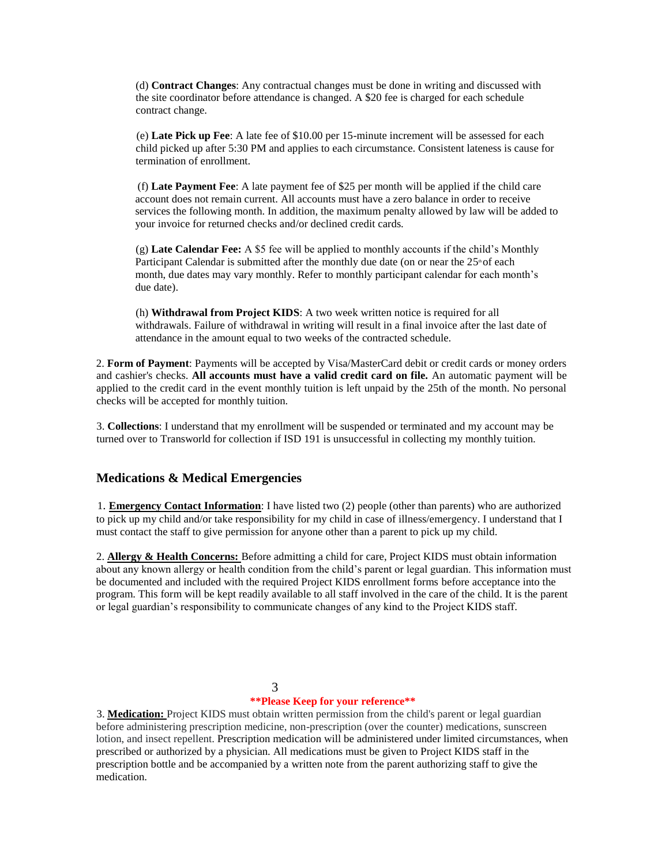(d) **Contract Changes**: Any contractual changes must be done in writing and discussed with the site coordinator before attendance is changed. A \$20 fee is charged for each schedule contract change.

(e) **Late Pick up Fee**: A late fee of \$10.00 per 15-minute increment will be assessed for each child picked up after 5:30 PM and applies to each circumstance. Consistent lateness is cause for termination of enrollment.

(f) **Late Payment Fee**: A late payment fee of \$25 per month will be applied if the child care account does not remain current. All accounts must have a zero balance in order to receive services the following month. In addition, the maximum penalty allowed by law will be added to your invoice for returned checks and/or declined credit cards.

(g) **Late Calendar Fee:** A \$5 fee will be applied to monthly accounts if the child's Monthly Participant Calendar is submitted after the monthly due date (on or near the 25<sup>th</sup> of each month, due dates may vary monthly. Refer to monthly participant calendar for each month's due date).

(h) **Withdrawal from Project KIDS**: A two week written notice is required for all withdrawals. Failure of withdrawal in writing will result in a final invoice after the last date of attendance in the amount equal to two weeks of the contracted schedule.

2. **Form of Payment**: Payments will be accepted by Visa/MasterCard debit or credit cards or money orders and cashier's checks. **All accounts must have a valid credit card on file.** An automatic payment will be applied to the credit card in the event monthly tuition is left unpaid by the 25th of the month. No personal checks will be accepted for monthly tuition.

3. **Collections**: I understand that my enrollment will be suspended or terminated and my account may be turned over to Transworld for collection if ISD 191 is unsuccessful in collecting my monthly tuition.

## **Medications & Medical Emergencies**

1. **Emergency Contact Information**: I have listed two (2) people (other than parents) who are authorized to pick up my child and/or take responsibility for my child in case of illness/emergency. I understand that I must contact the staff to give permission for anyone other than a parent to pick up my child.

2. **Allergy & Health Concerns:** Before admitting a child for care, Project KIDS must obtain information about any known allergy or health condition from the child's parent or legal guardian. This information must be documented and included with the required Project KIDS enrollment forms before acceptance into the program. This form will be kept readily available to all staff involved in the care of the child. It is the parent or legal guardian's responsibility to communicate changes of any kind to the Project KIDS staff.

## 3

## **\*\*Please Keep for your reference\*\***

3. **Medication:** Project KIDS must obtain written permission from the child's parent or legal guardian before administering prescription medicine, non-prescription (over the counter) medications, sunscreen lotion, and insect repellent. Prescription medication will be administered under limited circumstances, when prescribed or authorized by a physician. All medications must be given to Project KIDS staff in the prescription bottle and be accompanied by a written note from the parent authorizing staff to give the medication.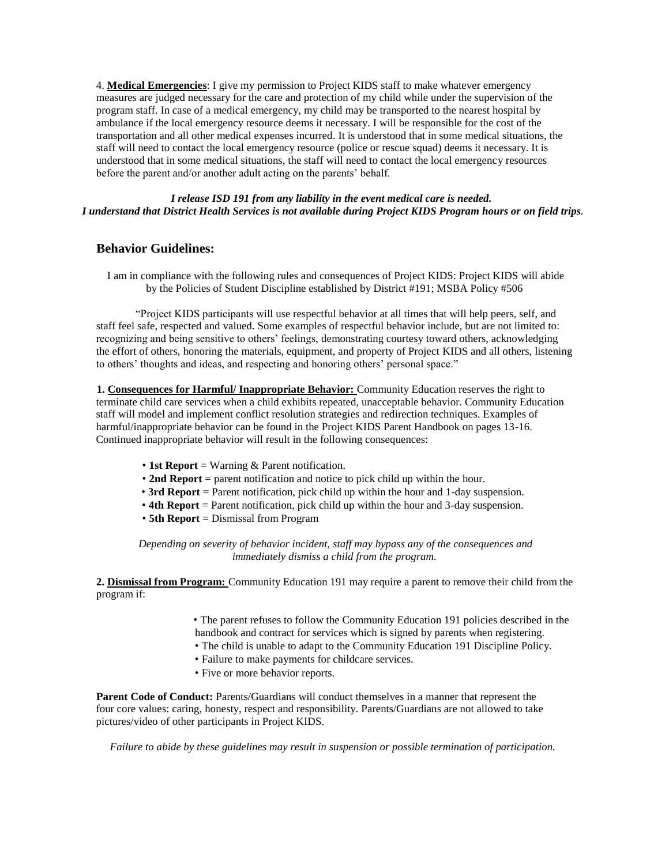4. **Medical Emergencies**: I give my permission to Project KIDS staff to make whatever emergency measures are judged necessary for the care and protection of my child while under the supervision of the program staff. In case of a medical emergency, my child may be transported to the nearest hospital by ambulance if the local emergency resource deems it necessary. I will be responsible for the cost of the transportation and all other medical expenses incurred. It is understood that in some medical situations, the staff will need to contact the local emergency resource (police or rescue squad) deems it necessary. It is understood that in some medical situations, the staff will need to contact the local emergency resources before the parent and/or another adult acting on the parents' behalf.

## *I release ISD 191 from any liability in the event medical care is needed. I understand that District Health Services is not available during Project KIDS Program hours or on field trips.*

# **Behavior Guidelines:**

I am in compliance with the following rules and consequences of Project KIDS: Project KIDS will abide by the Policies of Student Discipline established by District #191; MSBA Policy #506

"Project KIDS participants will use respectful behavior at all times that will help peers, self, and staff feel safe, respected and valued. Some examples of respectful behavior include, but are not limited to: recognizing and being sensitive to others' feelings, demonstrating courtesy toward others, acknowledging the effort of others, honoring the materials, equipment, and property of Project KIDS and all others, listening to others' thoughts and ideas, and respecting and honoring others' personal space."

**1. Consequences for Harmful/ Inappropriate Behavior:** Community Education reserves the right to terminate child care services when a child exhibits repeated, unacceptable behavior. Community Education staff will model and implement conflict resolution strategies and redirection techniques. Examples of harmful/inappropriate behavior can be found in the Project KIDS Parent Handbook on pages 13-16. Continued inappropriate behavior will result in the following consequences:

- **1st Report** = Warning & Parent notification.
- **2nd Report** = parent notification and notice to pick child up within the hour.
- **3rd Report** = Parent notification, pick child up within the hour and 1-day suspension.
- **4th Report** = Parent notification, pick child up within the hour and 3-day suspension.
- **5th Report** = Dismissal from Program

*Depending on severity of behavior incident, staff may bypass any of the consequences and immediately dismiss a child from the program.*

**2. Dismissal from Program:** Community Education 191 may require a parent to remove their child from the program if:

- The parent refuses to follow the Community Education 191 policies described in the
- handbook and contract for services which is signed by parents when registering.
- The child is unable to adapt to the Community Education 191 Discipline Policy.
- Failure to make payments for childcare services.
- Five or more behavior reports.

**Parent Code of Conduct:** Parents/Guardians will conduct themselves in a manner that represent the four core values: caring, honesty, respect and responsibility. Parents/Guardians are not allowed to take pictures/video of other participants in Project KIDS.

*Failure to abide by these guidelines may result in suspension or possible termination of participation.*